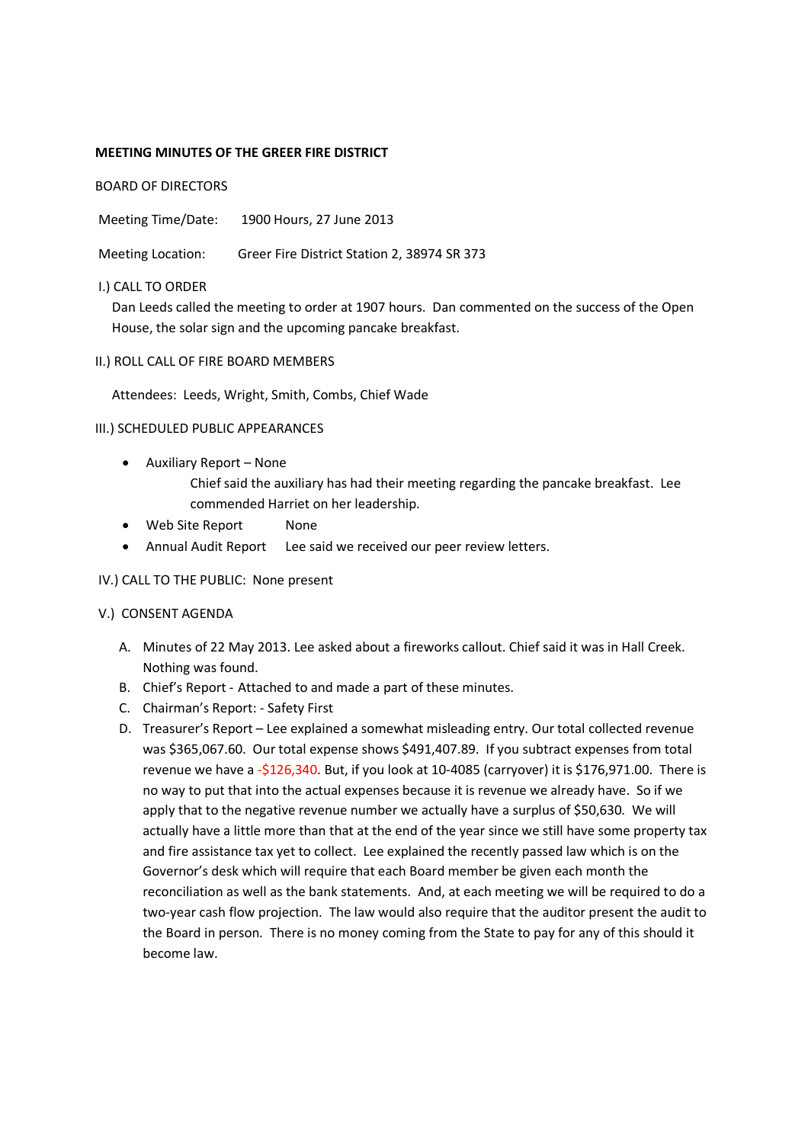## **MEETING MINUTES OF THE GREER FIRE DISTRICT**

BOARD OF DIRECTORS

Meeting Time/Date: 1900 Hours, 27 June 2013

Meeting Location: Greer Fire District Station 2, 38974 SR 373

#### I.) CALL TO ORDER

Dan Leeds called the meeting to order at 1907 hours. Dan commented on the success of the Open House, the solar sign and the upcoming pancake breakfast.

#### II.) ROLL CALL OF FIRE BOARD MEMBERS

Attendees: Leeds, Wright, Smith, Combs, Chief Wade

#### III.) SCHEDULED PUBLIC APPEARANCES

- Auxiliary Report None Chief said the auxiliary has had their meeting regarding the pancake breakfast. Lee commended Harriet on her leadership.
- Web Site Report None
- Annual Audit Report Lee said we received our peer review letters.

## IV.) CALL TO THE PUBLIC: None present

## V.) CONSENT AGENDA

- A. Minutes of 22 May 2013. Lee asked about a fireworks callout. Chief said it was in Hall Creek. Nothing was found.
- B. Chief's Report Attached to and made a part of these minutes.
- C. Chairman's Report: Safety First
- D. Treasurer's Report Lee explained a somewhat misleading entry. Our total collected revenue was \$365,067.60. Our total expense shows \$491,407.89. If you subtract expenses from total revenue we have a -\$126,340. But, if you look at 10-4085 (carryover) it is \$176,971.00. There is no way to put that into the actual expenses because it is revenue we already have. So if we apply that to the negative revenue number we actually have a surplus of \$50,630. We will actually have a little more than that at the end of the year since we still have some property tax and fire assistance tax yet to collect. Lee explained the recently passed law which is on the Governor's desk which will require that each Board member be given each month the reconciliation as well as the bank statements. And, at each meeting we will be required to do a two-year cash flow projection. The law would also require that the auditor present the audit to the Board in person. There is no money coming from the State to pay for any of this should it become law.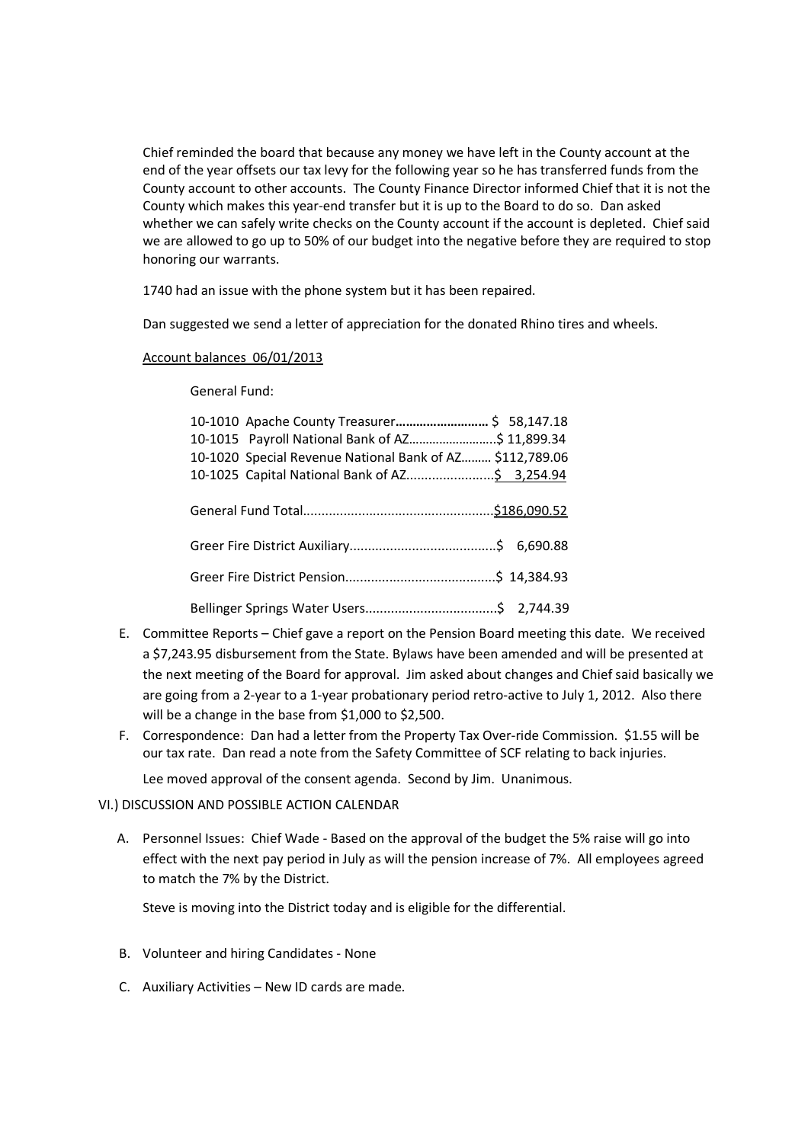Chief reminded the board that because any money we have left in the County account at the end of the year offsets our tax levy for the following year so he has transferred funds from the County account to other accounts. The County Finance Director informed Chief that it is not the County which makes this year-end transfer but it is up to the Board to do so. Dan asked whether we can safely write checks on the County account if the account is depleted. Chief said we are allowed to go up to 50% of our budget into the negative before they are required to stop honoring our warrants.

1740 had an issue with the phone system but it has been repaired.

Dan suggested we send a letter of appreciation for the donated Rhino tires and wheels.

## Account balances 06/01/2013

General Fund:

| 10-1010 Apache County Treasurer \$ 58,147.18             |
|----------------------------------------------------------|
| 10-1015 Payroll National Bank of AZ\$ 11,899.34          |
| 10-1020 Special Revenue National Bank of AZ \$112,789.06 |
|                                                          |
|                                                          |
|                                                          |
|                                                          |
|                                                          |
|                                                          |
|                                                          |
|                                                          |
|                                                          |

- E. Committee Reports Chief gave a report on the Pension Board meeting this date. We received a \$7,243.95 disbursement from the State. Bylaws have been amended and will be presented at the next meeting of the Board for approval. Jim asked about changes and Chief said basically we are going from a 2-year to a 1-year probationary period retro-active to July 1, 2012. Also there will be a change in the base from \$1,000 to \$2,500.
- F. Correspondence: Dan had a letter from the Property Tax Over-ride Commission. \$1.55 will be our tax rate. Dan read a note from the Safety Committee of SCF relating to back injuries.

Lee moved approval of the consent agenda. Second by Jim. Unanimous.

# VI.) DISCUSSION AND POSSIBLE ACTION CALENDAR

A. Personnel Issues: Chief Wade - Based on the approval of the budget the 5% raise will go into effect with the next pay period in July as will the pension increase of 7%. All employees agreed to match the 7% by the District.

Steve is moving into the District today and is eligible for the differential.

- B. Volunteer and hiring Candidates None
- C. Auxiliary Activities New ID cards are made.